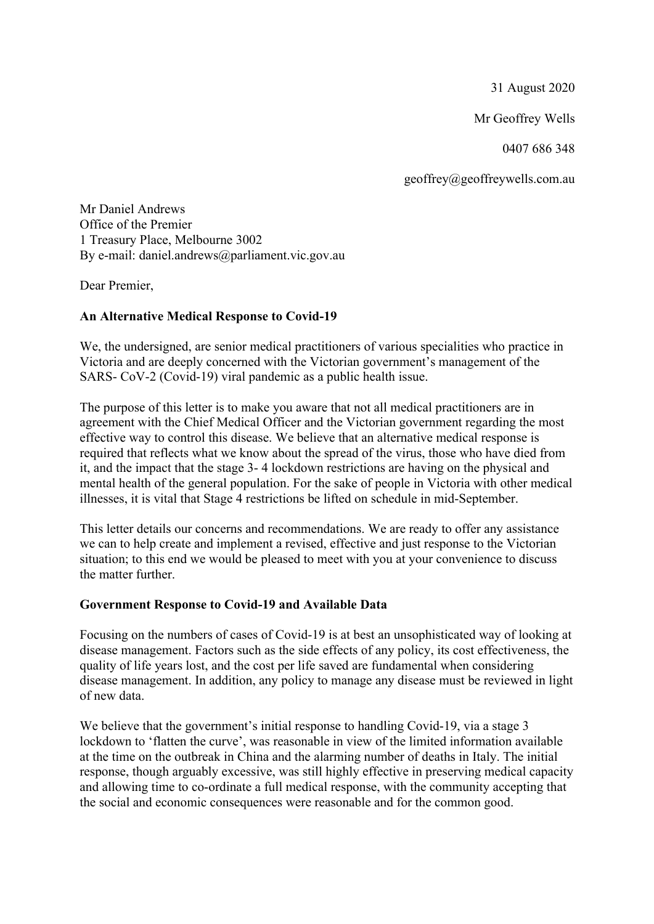31 August 2020

Mr Geoffrey Wells

0407 686 348

geoffrey@geoffreywells.com.au

Mr Daniel Andrews Office of the Premier 1 Treasury Place, Melbourne 3002 By e-mail: daniel.andrews@parliament.vic.gov.au

Dear Premier,

# **An Alternative Medical Response to Covid-19**

We, the undersigned, are senior medical practitioners of various specialities who practice in Victoria and are deeply concerned with the Victorian government's management of the SARS- CoV-2 (Covid-19) viral pandemic as a public health issue.

The purpose of this letter is to make you aware that not all medical practitioners are in agreement with the Chief Medical Officer and the Victorian government regarding the most effective way to control this disease. We believe that an alternative medical response is required that reflects what we know about the spread of the virus, those who have died from it, and the impact that the stage 3- 4 lockdown restrictions are having on the physical and mental health of the general population. For the sake of people in Victoria with other medical illnesses, it is vital that Stage 4 restrictions be lifted on schedule in mid-September.

This letter details our concerns and recommendations. We are ready to offer any assistance we can to help create and implement a revised, effective and just response to the Victorian situation; to this end we would be pleased to meet with you at your convenience to discuss the matter further.

# **Government Response to Covid-19 and Available Data**

Focusing on the numbers of cases of Covid-19 is at best an unsophisticated way of looking at disease management. Factors such as the side effects of any policy, its cost effectiveness, the quality of life years lost, and the cost per life saved are fundamental when considering disease management. In addition, any policy to manage any disease must be reviewed in light of new data.

We believe that the government's initial response to handling Covid-19, via a stage 3 lockdown to 'flatten the curve', was reasonable in view of the limited information available at the time on the outbreak in China and the alarming number of deaths in Italy. The initial response, though arguably excessive, was still highly effective in preserving medical capacity and allowing time to co-ordinate a full medical response, with the community accepting that the social and economic consequences were reasonable and for the common good.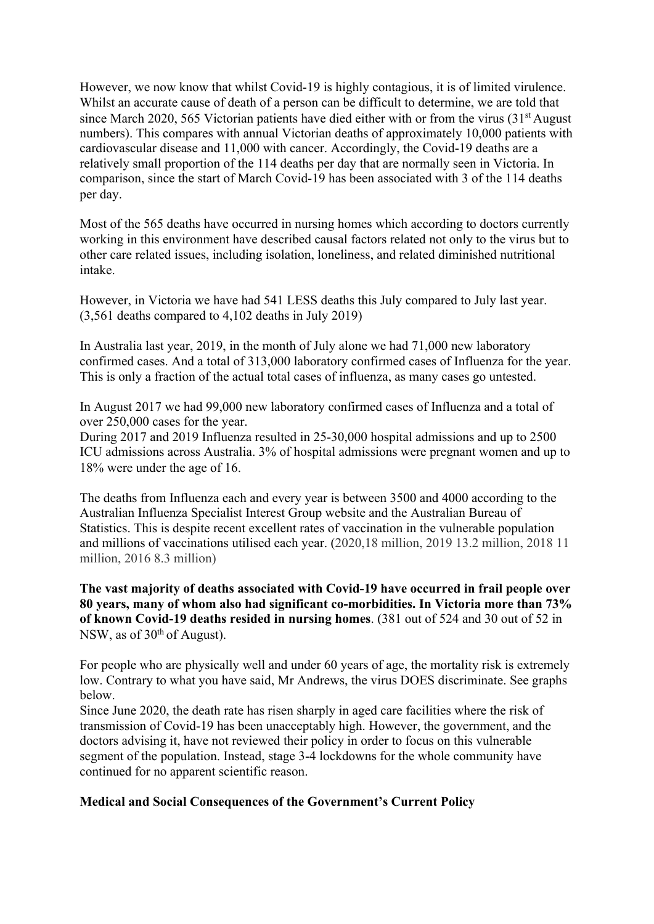However, we now know that whilst Covid-19 is highly contagious, it is of limited virulence. Whilst an accurate cause of death of a person can be difficult to determine, we are told that since March 2020, 565 Victorian patients have died either with or from the virus  $(31<sup>st</sup>$  August numbers). This compares with annual Victorian deaths of approximately 10,000 patients with cardiovascular disease and 11,000 with cancer. Accordingly, the Covid-19 deaths are a relatively small proportion of the 114 deaths per day that are normally seen in Victoria. In comparison, since the start of March Covid-19 has been associated with 3 of the 114 deaths per day.

Most of the 565 deaths have occurred in nursing homes which according to doctors currently working in this environment have described causal factors related not only to the virus but to other care related issues, including isolation, loneliness, and related diminished nutritional intake.

However, in Victoria we have had 541 LESS deaths this July compared to July last year. (3,561 deaths compared to 4,102 deaths in July 2019)

In Australia last year, 2019, in the month of July alone we had 71,000 new laboratory confirmed cases. And a total of 313,000 laboratory confirmed cases of Influenza for the year. This is only a fraction of the actual total cases of influenza, as many cases go untested.

In August 2017 we had 99,000 new laboratory confirmed cases of Influenza and a total of over 250,000 cases for the year.

During 2017 and 2019 Influenza resulted in 25-30,000 hospital admissions and up to 2500 ICU admissions across Australia. 3% of hospital admissions were pregnant women and up to 18% were under the age of 16.

The deaths from Influenza each and every year is between 3500 and 4000 according to the Australian Influenza Specialist Interest Group website and the Australian Bureau of Statistics. This is despite recent excellent rates of vaccination in the vulnerable population and millions of vaccinations utilised each year. (2020,18 million, 2019 13.2 million, 2018 11 million, 2016 8.3 million)

**The vast majority of deaths associated with Covid-19 have occurred in frail people over 80 years, many of whom also had significant co-morbidities. In Victoria more than 73% of known Covid-19 deaths resided in nursing homes**. (381 out of 524 and 30 out of 52 in NSW, as of  $30<sup>th</sup>$  of August).

For people who are physically well and under 60 years of age, the mortality risk is extremely low. Contrary to what you have said, Mr Andrews, the virus DOES discriminate. See graphs below.

Since June 2020, the death rate has risen sharply in aged care facilities where the risk of transmission of Covid-19 has been unacceptably high. However, the government, and the doctors advising it, have not reviewed their policy in order to focus on this vulnerable segment of the population. Instead, stage 3-4 lockdowns for the whole community have continued for no apparent scientific reason.

### **Medical and Social Consequences of the Government's Current Policy**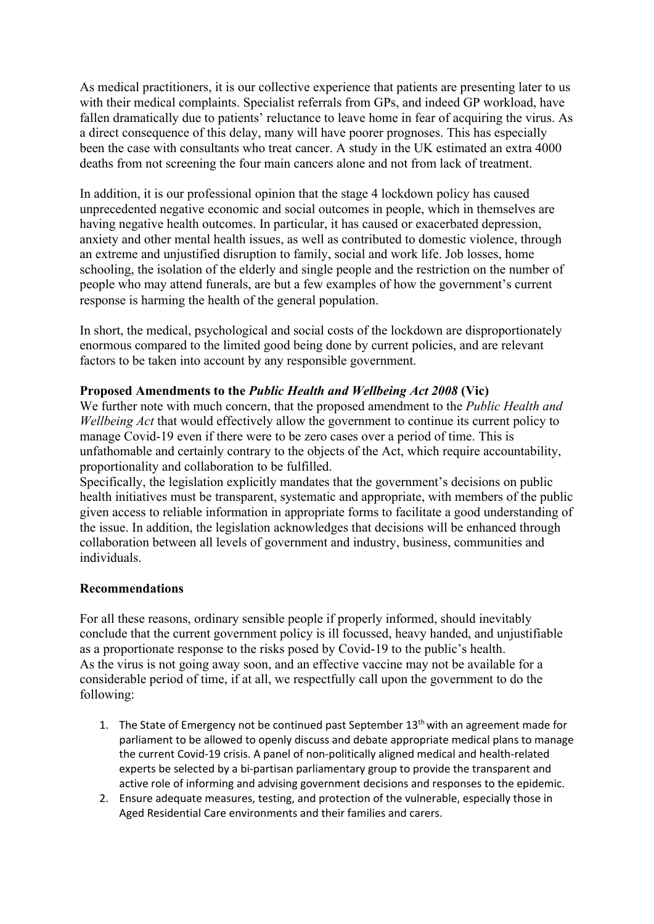As medical practitioners, it is our collective experience that patients are presenting later to us with their medical complaints. Specialist referrals from GPs, and indeed GP workload, have fallen dramatically due to patients' reluctance to leave home in fear of acquiring the virus. As a direct consequence of this delay, many will have poorer prognoses. This has especially been the case with consultants who treat cancer. A study in the UK estimated an extra 4000 deaths from not screening the four main cancers alone and not from lack of treatment.

In addition, it is our professional opinion that the stage 4 lockdown policy has caused unprecedented negative economic and social outcomes in people, which in themselves are having negative health outcomes. In particular, it has caused or exacerbated depression, anxiety and other mental health issues, as well as contributed to domestic violence, through an extreme and unjustified disruption to family, social and work life. Job losses, home schooling, the isolation of the elderly and single people and the restriction on the number of people who may attend funerals, are but a few examples of how the government's current response is harming the health of the general population.

In short, the medical, psychological and social costs of the lockdown are disproportionately enormous compared to the limited good being done by current policies, and are relevant factors to be taken into account by any responsible government.

# **Proposed Amendments to the** *Public Health and Wellbeing Act 2008* **(Vic)**

We further note with much concern, that the proposed amendment to the *Public Health and Wellbeing Act* that would effectively allow the government to continue its current policy to manage Covid-19 even if there were to be zero cases over a period of time. This is unfathomable and certainly contrary to the objects of the Act, which require accountability, proportionality and collaboration to be fulfilled.

Specifically, the legislation explicitly mandates that the government's decisions on public health initiatives must be transparent, systematic and appropriate, with members of the public given access to reliable information in appropriate forms to facilitate a good understanding of the issue. In addition, the legislation acknowledges that decisions will be enhanced through collaboration between all levels of government and industry, business, communities and individuals.

### **Recommendations**

For all these reasons, ordinary sensible people if properly informed, should inevitably conclude that the current government policy is ill focussed, heavy handed, and unjustifiable as a proportionate response to the risks posed by Covid-19 to the public's health. As the virus is not going away soon, and an effective vaccine may not be available for a considerable period of time, if at all, we respectfully call upon the government to do the following:

- 1. The State of Emergency not be continued past September  $13<sup>th</sup>$  with an agreement made for parliament to be allowed to openly discuss and debate appropriate medical plans to manage the current Covid-19 crisis. A panel of non-politically aligned medical and health-related experts be selected by a bi-partisan parliamentary group to provide the transparent and active role of informing and advising government decisions and responses to the epidemic.
- 2. Ensure adequate measures, testing, and protection of the vulnerable, especially those in Aged Residential Care environments and their families and carers.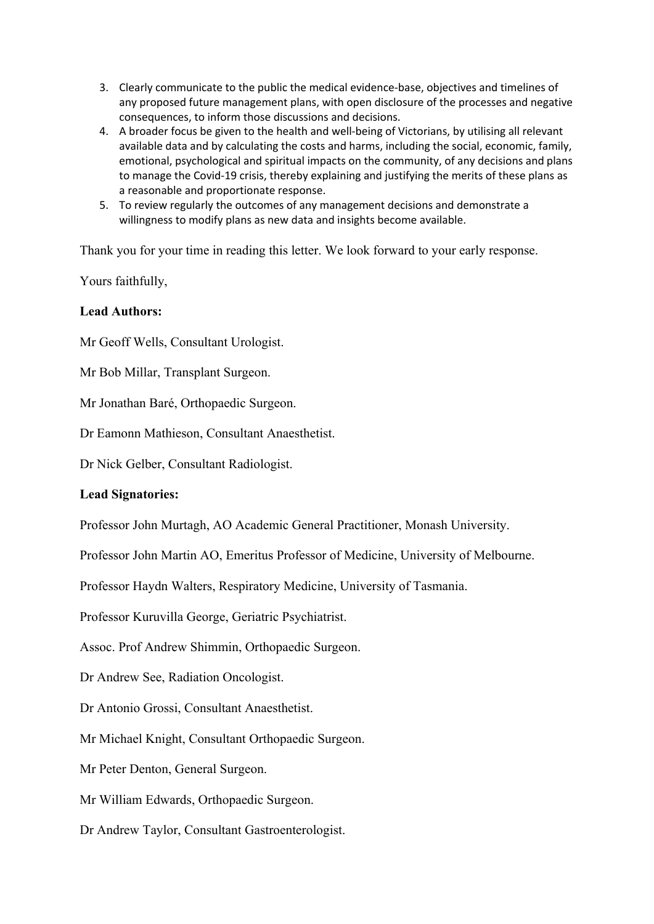- 3. Clearly communicate to the public the medical evidence-base, objectives and timelines of any proposed future management plans, with open disclosure of the processes and negative consequences, to inform those discussions and decisions.
- 4. A broader focus be given to the health and well-being of Victorians, by utilising all relevant available data and by calculating the costs and harms, including the social, economic, family, emotional, psychological and spiritual impacts on the community, of any decisions and plans to manage the Covid-19 crisis, thereby explaining and justifying the merits of these plans as a reasonable and proportionate response.
- 5. To review regularly the outcomes of any management decisions and demonstrate a willingness to modify plans as new data and insights become available.

Thank you for your time in reading this letter. We look forward to your early response.

Yours faithfully,

# **Lead Authors:**

Mr Geoff Wells, Consultant Urologist.

Mr Bob Millar, Transplant Surgeon.

Mr Jonathan Baré, Orthopaedic Surgeon.

Dr Eamonn Mathieson, Consultant Anaesthetist.

Dr Nick Gelber, Consultant Radiologist.

### **Lead Signatories:**

Professor John Murtagh, AO Academic General Practitioner, Monash University.

Professor John Martin AO, Emeritus Professor of Medicine, University of Melbourne.

Professor Haydn Walters, Respiratory Medicine, University of Tasmania.

Professor Kuruvilla George, Geriatric Psychiatrist.

Assoc. Prof Andrew Shimmin, Orthopaedic Surgeon.

Dr Andrew See, Radiation Oncologist.

Dr Antonio Grossi, Consultant Anaesthetist.

Mr Michael Knight, Consultant Orthopaedic Surgeon.

Mr Peter Denton, General Surgeon.

Mr William Edwards, Orthopaedic Surgeon.

Dr Andrew Taylor, Consultant Gastroenterologist.